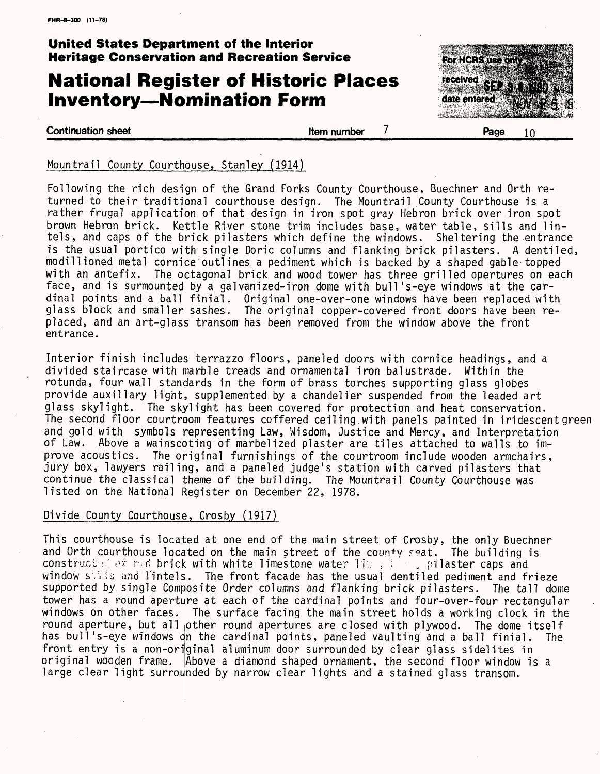### **United States Department of the Interior Heritage Conservation and Recreation Service**

# **National Register of Historic Places Inventory-Nomination Form**



#### **Continuation sheet Item number**

 $\overline{7}$ 

#### Mountrail County Courthouse, Stanley (1914)

Following the rich design of the Grand Forks County Courthouse, Buechner and Orth returned to their traditional courthouse design. The Mountrail County Courthouse is a rather frugal application of that design in iron spot gray Hebron brick over iron spot brown Hebron brick. Kettle River stone trim includes base, water table, sills and lintels, and caps of the brick pilasters which define the windows. Sheltering the entrance is the usual portico with single Doric columns and flanking brick pilasters. A dentiled, modillioned metal cornice outlines a pediment which is backed by a shaped gable topped with an antefix. The octagonal brick and wood tower has three grilled opertures on each face, and is surmounted by a galvanized-iron dome with bull's-eye windows at the cardinal points and a ball finial. Original one-over-one windows have been replaced with glass block and smaller sashes. The original copper-covered front doors have been replaced, and an art-glass transom has been removed from the window above the front entrance.

Interior finish includes terrazzo floors, paneled doors with cornice headings, and a divided staircase with marble treads and ornamental iron balustrade. Within the rotunda, four wall standards in the form of brass torches supporting glass globes provide auxiliary light, supplemented by a chandelier suspended from the leaded art glass skylight. The skylight has been covered for protection and heat conservation. The second floor courtroom features coffered ceil ing.with panels painted in iridescent green and gold with symbols representing Law, Wisdom, Justice and Mercy, and Interpretation of Law. Above a wainscoting of marbelized plaster are tiles attached to walls to improve acoustics. The original furnishings of the courtroom include wooden armchairs, jury box, lawyers railing, and a paneled judge's station with carved pilasters that continue the classical theme of the building. The Mountrail County Courthouse was listed on the National Register on December 22, 1978.

#### Divide County Courthouse, Crosby (1917)

This courthouse is located at one end of the main street of Crosby, the only Buechner and Orth courthouse located on the main street of the county seat. The building is construct:  $\wedge$   $\circ$  red brick with white limestone water Ii  $\rightarrow$  ( , pilaster caps and window salls and Tintels. The front facade has the usual dentiled pediment and frieze supported by single Composite Order columns and flanking brick pilasters. The tall dome tower has a round aperture at each of the cardinal points and four-over-four rectangular windows on other faces. The surface facing the main street holds a working clock in the round aperture, but all other round apertures are closed with plywood. The dome itself has bull's-eye windows on the cardinal points, paneled vaulting and a ball finial. The front entry is a non-original aluminum door surrounded by clear glass sidelites in original wooden frame. Above a diamond shaped ornament, the second floor window is a large clear light surrounded by narrow clear lights and a stained glass transom.